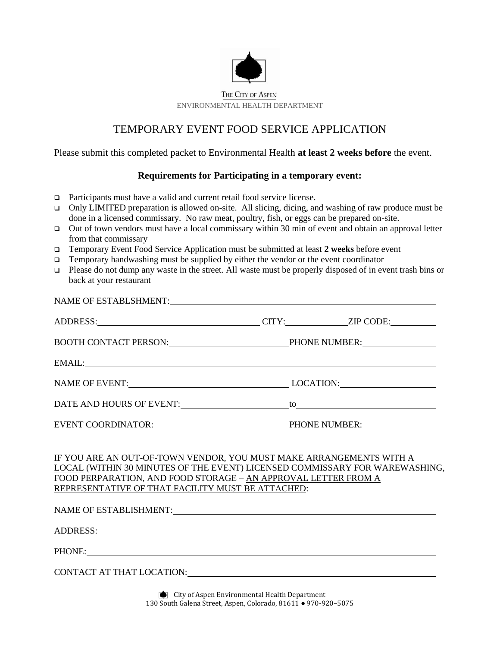

## TEMPORARY EVENT FOOD SERVICE APPLICATION

Please submit this completed packet to Environmental Health **at least 2 weeks before** the event.

## **Requirements for Participating in a temporary event:**

- Participants must have a valid and current retail food service license.
- Only LIMITED preparation is allowed on-site. All slicing, dicing, and washing of raw produce must be done in a licensed commissary. No raw meat, poultry, fish, or eggs can be prepared on-site.
- Out of town vendors must have a local commissary within 30 min of event and obtain an approval letter from that commissary
- Temporary Event Food Service Application must be submitted at least **2 weeks** before event
- $\Box$  Temporary handwashing must be supplied by either the vendor or the event coordinator
- $\Box$  Please do not dump any waste in the street. All waste must be properly disposed of in event trash bins or back at your restaurant

| NAME OF ESTABLSHMENT:                                                                                          |  |  |  |  |
|----------------------------------------------------------------------------------------------------------------|--|--|--|--|
|                                                                                                                |  |  |  |  |
| BOOTH CONTACT PERSON: PHONE NUMBER:                                                                            |  |  |  |  |
| EMAIL: New York Street and Street and Street and Street and Street and Street and Street and Street and Street |  |  |  |  |
| NAME OF EVENT: LOCATION: LOCATION:                                                                             |  |  |  |  |
|                                                                                                                |  |  |  |  |
| EVENT COORDINATOR: PHONE NUMBER:                                                                               |  |  |  |  |

IF YOU ARE AN OUT-OF-TOWN VENDOR, YOU MUST MAKE ARRANGEMENTS WITH A LOCAL (WITHIN 30 MINUTES OF THE EVENT) LICENSED COMMISSARY FOR WAREWASHING, FOOD PERPARATION, AND FOOD STORAGE – AN APPROVAL LETTER FROM A REPRESENTATIVE OF THAT FACILITY MUST BE ATTACHED:

| NAME OF ESTABLISHMENT:    |                                                                                                             |  |
|---------------------------|-------------------------------------------------------------------------------------------------------------|--|
| ADDRESS:                  |                                                                                                             |  |
| PHONE:                    | <u> 1980 - Jan Stein Berlin, amerikan berlin besteht als der stadt andere som beste beste beste beste b</u> |  |
| CONTACT AT THAT LOCATION: |                                                                                                             |  |
|                           |                                                                                                             |  |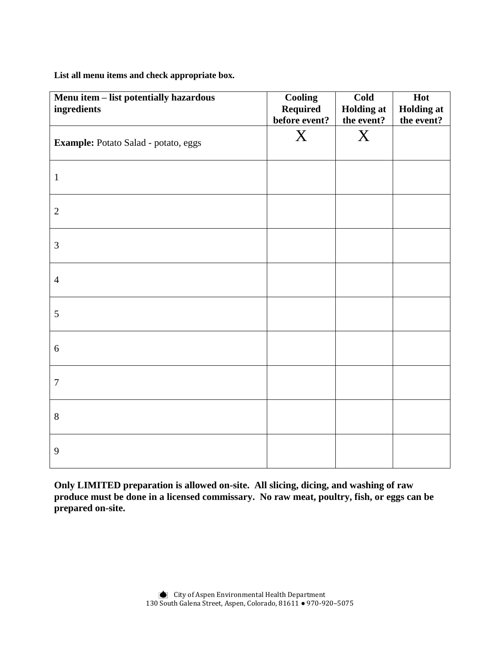**List all menu items and check appropriate box.**

| Menu item - list potentially hazardous<br>ingredients | <b>Cooling</b><br><b>Required</b><br>before event? | Cold<br><b>Holding at</b><br>the event? | Hot<br><b>Holding at</b><br>the event? |
|-------------------------------------------------------|----------------------------------------------------|-----------------------------------------|----------------------------------------|
| Example: Potato Salad - potato, eggs                  | $\boldsymbol{X}$                                   | X                                       |                                        |
| $\mathbf{1}$                                          |                                                    |                                         |                                        |
| $\mathbf{2}$                                          |                                                    |                                         |                                        |
| 3                                                     |                                                    |                                         |                                        |
| $\overline{4}$                                        |                                                    |                                         |                                        |
| 5                                                     |                                                    |                                         |                                        |
| 6                                                     |                                                    |                                         |                                        |
| $\boldsymbol{7}$                                      |                                                    |                                         |                                        |
| 8                                                     |                                                    |                                         |                                        |
| 9                                                     |                                                    |                                         |                                        |

**Only LIMITED preparation is allowed on-site. All slicing, dicing, and washing of raw produce must be done in a licensed commissary. No raw meat, poultry, fish, or eggs can be prepared on-site.**